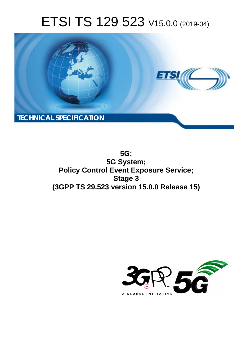# ETSI TS 129 523 V15.0.0 (2019-04)



**5G; 5G System; Policy Control Event Exposure Service; Stage 3 (3GPP TS 29.523 version 15.0.0 Release 15)** 

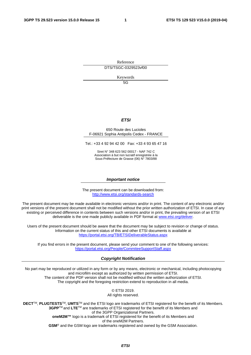Reference DTS/TSGC-0329523vf00

Keywords

5G

#### *ETSI*

#### 650 Route des Lucioles F-06921 Sophia Antipolis Cedex - FRANCE

Tel.: +33 4 92 94 42 00 Fax: +33 4 93 65 47 16

Siret N° 348 623 562 00017 - NAF 742 C Association à but non lucratif enregistrée à la Sous-Préfecture de Grasse (06) N° 7803/88

#### *Important notice*

The present document can be downloaded from: <http://www.etsi.org/standards-search>

The present document may be made available in electronic versions and/or in print. The content of any electronic and/or print versions of the present document shall not be modified without the prior written authorization of ETSI. In case of any existing or perceived difference in contents between such versions and/or in print, the prevailing version of an ETSI deliverable is the one made publicly available in PDF format at [www.etsi.org/deliver](http://www.etsi.org/deliver).

Users of the present document should be aware that the document may be subject to revision or change of status. Information on the current status of this and other ETSI documents is available at <https://portal.etsi.org/TB/ETSIDeliverableStatus.aspx>

If you find errors in the present document, please send your comment to one of the following services: <https://portal.etsi.org/People/CommiteeSupportStaff.aspx>

#### *Copyright Notification*

No part may be reproduced or utilized in any form or by any means, electronic or mechanical, including photocopying and microfilm except as authorized by written permission of ETSI. The content of the PDF version shall not be modified without the written authorization of ETSI. The copyright and the foregoing restriction extend to reproduction in all media.

> © ETSI 2019. All rights reserved.

**DECT**TM, **PLUGTESTS**TM, **UMTS**TM and the ETSI logo are trademarks of ETSI registered for the benefit of its Members. **3GPP**TM and **LTE**TM are trademarks of ETSI registered for the benefit of its Members and of the 3GPP Organizational Partners. **oneM2M™** logo is a trademark of ETSI registered for the benefit of its Members and of the oneM2M Partners. **GSM**® and the GSM logo are trademarks registered and owned by the GSM Association.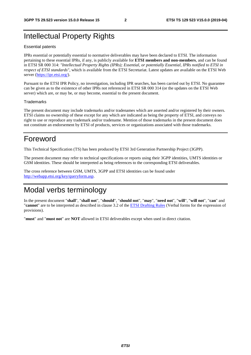# Intellectual Property Rights

#### Essential patents

IPRs essential or potentially essential to normative deliverables may have been declared to ETSI. The information pertaining to these essential IPRs, if any, is publicly available for **ETSI members and non-members**, and can be found in ETSI SR 000 314: *"Intellectual Property Rights (IPRs); Essential, or potentially Essential, IPRs notified to ETSI in respect of ETSI standards"*, which is available from the ETSI Secretariat. Latest updates are available on the ETSI Web server ([https://ipr.etsi.org/\)](https://ipr.etsi.org/).

Pursuant to the ETSI IPR Policy, no investigation, including IPR searches, has been carried out by ETSI. No guarantee can be given as to the existence of other IPRs not referenced in ETSI SR 000 314 (or the updates on the ETSI Web server) which are, or may be, or may become, essential to the present document.

#### **Trademarks**

The present document may include trademarks and/or tradenames which are asserted and/or registered by their owners. ETSI claims no ownership of these except for any which are indicated as being the property of ETSI, and conveys no right to use or reproduce any trademark and/or tradename. Mention of those trademarks in the present document does not constitute an endorsement by ETSI of products, services or organizations associated with those trademarks.

# Foreword

This Technical Specification (TS) has been produced by ETSI 3rd Generation Partnership Project (3GPP).

The present document may refer to technical specifications or reports using their 3GPP identities, UMTS identities or GSM identities. These should be interpreted as being references to the corresponding ETSI deliverables.

The cross reference between GSM, UMTS, 3GPP and ETSI identities can be found under [http://webapp.etsi.org/key/queryform.asp.](http://webapp.etsi.org/key/queryform.asp)

# Modal verbs terminology

In the present document "**shall**", "**shall not**", "**should**", "**should not**", "**may**", "**need not**", "**will**", "**will not**", "**can**" and "**cannot**" are to be interpreted as described in clause 3.2 of the [ETSI Drafting Rules](https://portal.etsi.org/Services/editHelp!/Howtostart/ETSIDraftingRules.aspx) (Verbal forms for the expression of provisions).

"**must**" and "**must not**" are **NOT** allowed in ETSI deliverables except when used in direct citation.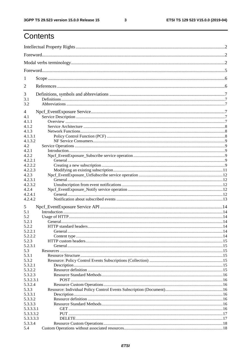$\mathbf{3}$ 

# Contents

| 1                      |  |
|------------------------|--|
| 2                      |  |
| 3                      |  |
| 3.1                    |  |
| 3.2                    |  |
| 4                      |  |
| 4.1                    |  |
| 4.1.1                  |  |
| 4.1.2                  |  |
| 4.1.3                  |  |
| 4.1.3.1                |  |
| 4.1.3.2                |  |
| 4.2<br>4.2.1           |  |
| 4.2.2                  |  |
| 4.2.2.1                |  |
| 4.2.2.2                |  |
| 4.2.2.3                |  |
| 4.2.3                  |  |
| 4.2.3.1                |  |
| 4.2.3.2                |  |
| 4.2.4                  |  |
| 4.2.4.1                |  |
| 4.2.4.2                |  |
| 5                      |  |
| 5.1                    |  |
| 5.2                    |  |
| 5.2.1                  |  |
| 5.2.2                  |  |
| 5.2.2.1                |  |
| 5.2.2.2                |  |
| 5.2.3                  |  |
| 5.2.3.1                |  |
| 5.3                    |  |
| 5.3.1                  |  |
| 5.3.2                  |  |
| 5.3.2.1                |  |
| 5.3.2.2                |  |
| 5.3.2.3                |  |
| 5.3.2.3.1              |  |
| 5.3.2.4                |  |
| 5.3.3                  |  |
| 5.3.3.1                |  |
| 5.3.3.2                |  |
| 5.3.3.3                |  |
| 5.3.3.3.1              |  |
| 5.3.3.3.2<br>5.3.3.3.3 |  |
| 5.3.3.4                |  |
| 5.4                    |  |
|                        |  |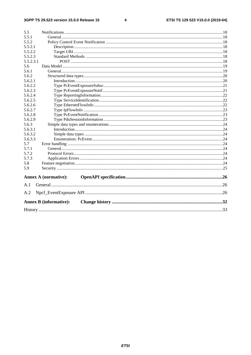$\overline{\mathbf{4}}$ 

| 5.5       |                               |  |
|-----------|-------------------------------|--|
| 5.5.1     |                               |  |
| 5.5.2     |                               |  |
| 5.5.2.1   |                               |  |
| 5.5.2.2   |                               |  |
| 5.5.2.3   |                               |  |
| 5.5.2.3.1 |                               |  |
| 5.6       |                               |  |
| 5.6.1     |                               |  |
| 5.6.2     |                               |  |
| 5.6.2.1   |                               |  |
| 5.6.2.2   |                               |  |
| 5.6.2.3   |                               |  |
| 5.6.2.4   |                               |  |
| 5.6.2.5   |                               |  |
| 5.6.2.6   |                               |  |
| 5.6.2.7   |                               |  |
| 5.6.2.8   |                               |  |
| 5.6.2.9   |                               |  |
| 5.6.3     |                               |  |
| 5.6.3.1   |                               |  |
| 5.6.3.2   |                               |  |
| 5.6.3.3   |                               |  |
| 5.7       |                               |  |
| 5.7.1     |                               |  |
| 5.7.2     |                               |  |
| 5.7.3     |                               |  |
| 5.8       |                               |  |
| 5.9       |                               |  |
|           | <b>Annex A (normative):</b>   |  |
| A.1       |                               |  |
| A.2       |                               |  |
|           | <b>Annex B</b> (informative): |  |
|           |                               |  |
|           |                               |  |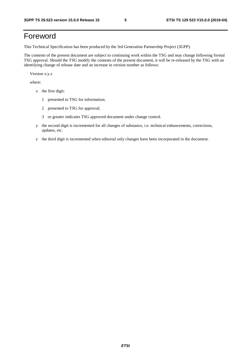# Foreword

This Technical Specification has been produced by the 3rd Generation Partnership Project (3GPP).

The contents of the present document are subject to continuing work within the TSG and may change following formal TSG approval. Should the TSG modify the contents of the present document, it will be re-released by the TSG with an identifying change of release date and an increase in version number as follows:

Version x.y.z

where:

- x the first digit:
	- 1 presented to TSG for information;
	- 2 presented to TSG for approval;
	- 3 or greater indicates TSG approved document under change control.
- y the second digit is incremented for all changes of substance, i.e. technical enhancements, corrections, updates, etc.
- z the third digit is incremented when editorial only changes have been incorporated in the document.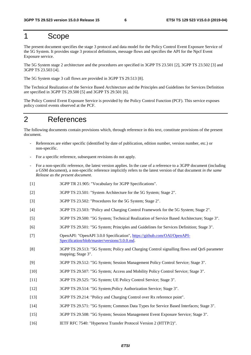# 1 Scope

The present document specifies the stage 3 protocol and data model for the Policy Control Event Exposure Service of the 5G System. It provides stage 3 protocol definitions, message flows and specifies the API for the Npcf Event Exposure service.

The 5G System stage 2 architecture and the procedures are specified in 3GPP TS 23.501 [2], 3GPP TS 23.502 [3] and 3GPP TS 23.503 [4].

The 5G System stage 3 call flows are provided in 3GPP TS 29.513 [8].

The Technical Realization of the Service Based Architecture and the Principles and Guidelines for Services Definition are specified in 3GPP TS 29.500 [5] and 3GPP TS 29.501 [6].

The Policy Control Event Exposure Service is provided by the Policy Control Function (PCF). This service exposes policy control events observed at the PCF.

# 2 References

The following documents contain provisions which, through reference in this text, constitute provisions of the present document.

- References are either specific (identified by date of publication, edition number, version number, etc.) or non-specific.
- For a specific reference, subsequent revisions do not apply.
- For a non-specific reference, the latest version applies. In the case of a reference to a 3GPP document (including a GSM document), a non-specific reference implicitly refers to the latest version of that document *in the same Release as the present document*.
- [1] 3GPP TR 21.905: "Vocabulary for 3GPP Specifications".
- [2] 3GPP TS 23.501: "System Architecture for the 5G System; Stage 2".
- [3] 3GPP TS 23.502: "Procedures for the 5G System; Stage 2".
- [4] 3GPP TS 23.503: "Policy and Charging Control Framework for the 5G System; Stage 2".
- [5] 3GPP TS 29.500: "5G System; Technical Realization of Service Based Architecture; Stage 3".
- [6] 3GPP TS 29.501: "5G System; Principles and Guidelines for Services Definition; Stage 3".
- [7] OpenAPI: "OpenAPI 3.0.0 Specification", [https://github.com/OAI/OpenAPI](https://github.com/OAI/OpenAPI-Specification/blob/master/versions/3.0.0.md)-[Specification/blob/master/versions/3.0.0.md](https://github.com/OAI/OpenAPI-Specification/blob/master/versions/3.0.0.md).
- [8] 3GPP TS 29.513: "5G System; Policy and Charging Control signalling flows and QoS parameter mapping; Stage 3".
- [9] 3GPP TS 29.512: "5G System; Session Management Policy Control Service; Stage 3".
- [10] 3GPP TS 29.507: "5G System; Access and Mobility Policy Control Service; Stage 3".
- [11] 3GPP TS 29.525: "5G System; UE Policy Control Service; Stage 3".
- [12] 3GPP TS 29.514: "5G System;Policy Authorization Service; Stage 3".
- [13] 3GPP TS 29.214: "Policy and Charging Control over Rx reference point".
- [14] 3GPP TS 29.571: "5G System; Common Data Types for Service Based Interfaces; Stage 3".
- [15] 3GPP TS 29.508: "5G System; Session Management Event Exposure Service; Stage 3".
- [16] IETF RFC 7540: "Hypertext Transfer Protocol Version 2 (HTTP/2)".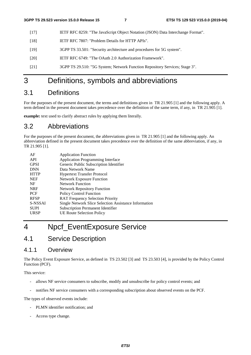- [17] IETF RFC 8259: "The JavaScript Object Notation (JSON) Data Interchange Format".
- [18] IETF RFC 7807: "Problem Details for HTTP APIs".
- [19] 3GPP TS 33.501: "Security architecture and procedures for 5G system".
- [20] IETF RFC 6749: "The OAuth 2.0 Authorization Framework".
- [21] 3GPP TS 29.510: "5G System; Network Function Repository Services; Stage 3".

# 3 Definitions, symbols and abbreviations

# 3.1 Definitions

For the purposes of the present document, the terms and definitions given in TR 21.905 [1] and the following apply. A term defined in the present document takes precedence over the definition of the same term, if any, in TR 21.905 [1].

**example:** text used to clarify abstract rules by applying them literally.

# 3.2 Abbreviations

For the purposes of the present document, the abbreviations given in TR 21.905 [1] and the following apply. An abbreviation defined in the present document takes precedence over the definition of the same abbreviation, if any, in TR 21.905 [1].

| AF          | <b>Application Function</b>                           |
|-------------|-------------------------------------------------------|
| API         | <b>Application Programming Interface</b>              |
| <b>GPSI</b> | Generic Public Subscription Identifier                |
| <b>DNN</b>  | Data Network Name                                     |
| <b>HTTP</b> | <b>Hypertext Transfer Protocol</b>                    |
| <b>NEF</b>  | <b>Network Exposure Function</b>                      |
| NF          | <b>Network Function</b>                               |
| <b>NRF</b>  | <b>Network Repository Function</b>                    |
| <b>PCF</b>  | <b>Policy Control Function</b>                        |
| <b>RFSP</b> | <b>RAT Frequency Selection Priority</b>               |
| S-NSSAI     | Single Network Slice Selection Assistance Information |
| <b>SUPI</b> | <b>Subscription Permanent Identifier</b>              |
| URSP        | UE Route Selection Policy                             |

# 4 Npcf\_EventExposure Service

# 4.1 Service Description

### 4.1.1 Overview

The Policy Event Exposure Service, as defined in TS 23.502 [3] and TS 23.503 [4], is provided by the Policy Control Function (PCF).

This service:

- allows NF service consumers to subscribe, modify and unsubscribe for policy control events; and
- notifies NF service consumers with a corresponding subscription about observed events on the PCF.

The types of observed events include:

- PLMN identifier notification; and
- Access type change.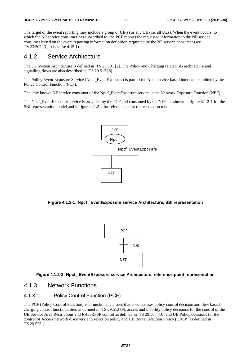The target of the event reporting may include a group of UE(s) or any UE (i.e. all UEs). When the event occurs, to which the NF service consumer has subscribed to, the PCF reports the requested information to the NF service consumer based on the event reporting information definition requested by the NF service consumer (see TS 23.502 [3], subclause 4.15.1).

### 4.1.2 Service Architecture

The 5G System Architecture is defined in TS 23.501 [2]. The Policy and Charging related 5G architecture and signalling flows are also described in TS 29.513 [8].

The Policy Event Exposure Service (Npcf\_EventExposure) is part of the Npcf service-based interface exhibited by the Policy Control Function (PCF).

The only known NF service consumer of the Npcf\_EventExposure service is the Network Exposure Function (NEF).

The Npcf. EventExposure service is provided by the PCF and consumed by the NEF, as shown in figure 4.1.2-1 for the SBI representation model and in figure 4.1.2-2 for reference point representation model.



**Figure 4.1.2-1: Npcf\_ EventExposure service Architecture, SBI representation** 



#### **Figure 4.1.2-2: Npcf\_ EventExposure service Architecture, reference point representation**

### 4.1.3 Network Functions

#### 4.1.3.1 Policy Control Function (PCF)

The PCF (Policy Control Function) is a functional element that encompasses policy control decision and flow based charging control functionalities as defined in TS 29.512 [9], access and mobility policy decisions for the control of the UE Service Area Restrictions and RAT/RFSP control as defined in TS 29.507 [10] and UE Policy decisions for the control of Access network discovery and selection policy and UE Route Selection Policy (URSP) as defined in TS 29.525 [11].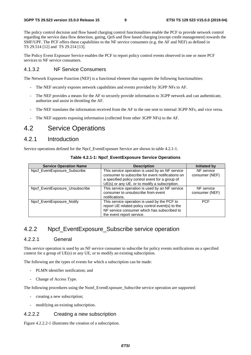The policy control decision and flow based charging control functionalities enable the PCF to provide network control regarding the service data flow detection, gating, QoS and flow based charging (except credit management) towards the SMF/UPF. The PCF offers these capabilities to the NF service consumers (e.g. the AF and NEF) as defined in TS 29.514 [12] and TS 29.214 [13].

The Policy Event Exposure Service enables the PCF to report policy control events observed in one or more PCF services to NF service consumers.

#### 4.1.3.2 NF Service Consumers

The Network Exposure Function (NEF) is a functional element that supports the following functionalities:

- The NEF securely exposes network capabilities and events provided by 3GPP NFs to AF.
- The NEF provides a means for the AF to securely provide information to 3GPP network and can authenticate, authorize and assist in throttling the AF.
- The NEF translates the information received from the AF to the one sent to internal 3GPP NFs, and vice versa.
- The NEF supports exposing information (collected from other 3GPP NFs) to the AF.

# 4.2 Service Operations

### 4.2.1 Introduction

Service operations defined for the Npcf\_EventExposure Service are shown in table 4.2.1-1.

| <b>Service Operation Name</b>  | <b>Description</b>                                                                                                                                                           | <b>Initiated by</b>          |
|--------------------------------|------------------------------------------------------------------------------------------------------------------------------------------------------------------------------|------------------------------|
| Npcf_EventExposure_Subscribe   | This service operation is used by an NF service<br>consumer to subscribe for event notifications on                                                                          | NF service<br>consumer (NEF) |
|                                | a specified policy control event for a group of<br>UE(s) or any UE, or to modify a subscription.                                                                             |                              |
| Npcf_EventExposure_Unsubscribe | This service operation is used by an NF service<br>consumer to unsubscribe from event<br>notifications.                                                                      | NF service<br>consumer (NEF) |
| Npcf EventExposure Notify      | This service operation is used by the PCF to<br>report UE related policy control event(s) to the<br>NF service consumer which has subscribed to<br>the event report service. | <b>PCF</b>                   |

**Table 4.2.1-1: Npcf\_EventExposure Service Operations**

# 4.2.2 Npcf EventExposure\_Subscribe service operation

#### 4.2.2.1 General

This service operation is used by an NF service consumer to subscribe for policy events notifications on a specified context for a group of UE(s) or any UE, or to modify an existing subscription.

The following are the types of events for which a subscription can be made:

- PLMN identifier notification; and
- Change of Access Type.

The following procedures using the Nsmf\_EventExposure\_Subscribe service operation are supported:

- creating a new subscription;
- modifying an existing subscription.

#### 4.2.2.2 Creating a new subscription

Figure 4.2.2.2-1 illustrates the creation of a subscription.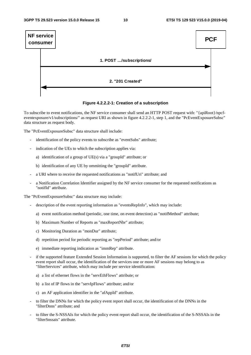

**Figure 4.2.2.2-1: Creation of a subscription** 

To subscribe to event notifications, the NF service consumer shall send an HTTP POST request with: "{apiRoot}/npcfeventexposure/v1/subscriptions/" as request URI as shown in figure 4.2.2.2-1, step 1, and the "PcEventExposureSubsc" data structure as request body.

The "PcEventExposureSubsc" data structure shall include:

- identification of the policy events to subscribe as "eventSubs" attribute;
- indication of the UEs to which the subscription applies via:
	- a) identification of a group of UE(s) via a "groupId" attribute; or
	- b) identification of any UE by ommitting the "groupId" attribute.
- a URI where to receive the requested notifications as "notifUri" attribute; and
- a Notification Correlation Identifier assigned by the NF service consumer for the requested notifications as "notifId" attribute.

The "PcEventExposureSubsc" data structure may include:

- description of the event reporting information as "eventsRepInfo", which may include:
	- a) event notification method (periodic, one time, on event detection) as "notifMethod" attribute;
	- b) Maximum Number of Reports as "maxReportNbr" attribute;
	- c) Monitoring Duration as "monDur" attribute;
	- d) repetition period for periodic reporting as "repPeriod" attribute; and/or
	- e) immediate reporting indication as "immRep" attribute.
- if the supported feature Extended Session Information is supported, to filter the AF sessions for which the policy event report shall occur, the identification of the services one or more AF sessions may belong to as "filterServices" attribute, which may include per service identification:
	- a) a list of ethernet flows in the "servEthFlows" attribute; or
	- b) a list of IP flows in the "servIpFlows" attribute; and/or
	- c) an AF application identifier in the "afAppId" attribute.
- to filter the DNNs for which the policy event report shall occur, the identification of the DNNs in the "filterDnns" attribute; and
- to filter the S-NSSAIs for which the policy event report shall occur, the identification of the S-NSSAIs in the "filterSnssais" attribute.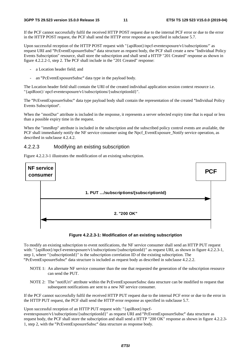If the PCF cannot successfully fulfil the received HTTP POST request due to the internal PCF error or due to the error in the HTTP POST request, the PCF shall send the HTTP error response as specified in subclause 5.7.

Upon successful reception of the HTTP POST request with "{apiRoot}/npcf-eventexposure/v1/subscriptions/" as request URI and "PcEventExposureSubsc" data structure as request body, the PCF shall create a new "Individual Policy "PcEventExposureSubsc" data structure as request body, the PCF shall create a new "Individual Policy<br>ion" resource, shall store the subscription and shall send a HTTP "201 Created" response as shown in<br>step 2. The PCF shal Events Subscription" resource, shall store the subscription and shall send a HTTP "201 Created" response as shown in figure 4.2.2.2-1, step 2. The PCF shall include in the "201 Created" response:

- a Location header field; and
- an "PcEventExposureSubsc" data type in the payload body.

- an "PcEventExposureSubsc" data type in the payload body.<br>The Location header field shall contain the URI of the created individual application session context resource i.e. "{apiRoot}/ npcf-eventexposure/v1/subscriptions/{subscriptionId}".

The "PcEventExposureSubsc" data type payload body shall contain the representation of the created "Individual Policy Events Subscription

Events Subscription".<br>When the "monDur" attribute is included in the response, it represents a server selected expiry time that is equal or less than a possible expiry time in the request.

When the "immRep" attribute is included in the subscription and the subscribed policy control events are available, the PCF shall immediately notify the NF service consumer using the Npcf\_EventExposure\_Notify service operation, as described in subclause 4.2.4.2.

#### 4.2.2.3 Modifying an existing subscription

Figure 4.2.2.3-1 illustrates the modification of an existing subscription.





To modify an existing subscription to event notifications, the NF service consumer shall send an HTTP PUT request with: "{apiRoot}/npcf-eventexposure/v1/subscriptions/{subscriptionId}" as request URI, as shown in figure 4.2.2.3-1, step 1, where "{subscriptionId}" is the subscription correlation ID of the existing subscription. The

- "PcEventExposureSubsc" data structure is included as request body as described in subclause 4.2.2.2. NOTE 1: An alternate NF service consumer than the one that requested the generation of the subscription resource can send the PUT.
	- NOTE 2: The "notifUri" attribute within the PcEventExposureSubsc data structure can be modified to request that subsequent notifications are sent to a new NF service consumer.

If the PCF cannot successfully fulfil the received HTTP PUT request due to the internal PCF error or due to the error in the HTTP PUT request, the PCF shall send the HTTP error response as specified in subclause 5.7.

Upon successful reception of an HTTP PUT request with: "{apiRoot}/npcf-

eventexposure/v1/subscriptions/{subscriptionId}" as request URI and "PcEventExposureSubsc" data structure as "PcEventExposureSubsc" data structure as<br>TP "200 OK" response as shown in figure 4<br>body. request body, the PCF shall store the subscription and shall send a HTTP "200 OK" response as shown in figure 4.2.2.3- 1, step 2, with the "PcEventExposureSubsc" data structure as response body.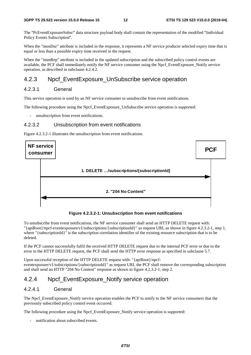The "PcEventExposureSubsc" data structure payload body shall contain the representation of the modified "Individual Policy Events Subscription".

Policy Events Subscription".<br>When the "monDur" attribute is included in the response, it represents a NF service producer selected expiry time that is equal or less than a possible expiry time received in the request.

When the "immRep" attribute is included in the updated subscription and the subscribed policy control events are available, the PCF shall immediately notify the NF service consumer using the Npcf\_EventExposure\_Notify service operation, as described in subclause 4.2.4.2.

## 4.2.3 Npcf\_EventExposure\_UnSubscribe service operation

### 4.2.3.1 General

This service operation is used by an NF service consumer to unsubscribe from event notifications.

The following procedure using the Npcf\_EventExposure\_UnSubscribe service operation is supported:

unsubscription from event notifications.

#### 4.2.3.2 Unsubscription from event notifications

Figure 4.2.3.2-1 illustrates the unsubscription from event notifications.



**Figure 4.2.3.2-1: Unsubscription from event notifications** 

To unsubscribe from event notifications, the NF service consumer shall send an HTTP DELETE request with: "{apiRoot}/npcf-eventexposure/v1/subscriptions/{subscriptionId}" as request URI, as shown in figure 4.2.3.2-1, step 1, where "{subscriptionId}" is the subscription correlation identifier of the existing resource subscription that is to be deleted.

If the PCF cannot successfully fulfil the received HTTP DELETE request due to the internal PCF error or due to the error in the HTTP DELETE request, the PCF shall send the HTTP error response as specified in subclause 5.7.

Upon successful reception of the HTTP DELETE request with: "{apiRoot}/npcfeventexposure/v1/subscriptions/{subscriptionId}" as request URI, the PCF shall remove the corresponding subscription and shall send an HTTP "204 No Content" response as shown in figure 4.2.3.2-1, step 2.

### 4.2.4 Npcf\_EventExposure\_Notify service operation

#### 4.2.4.1 General

The Npcf. EventExposure. Notify service operation enables the PCF to notify to the NF service consumers that the previously subscribed policy control event occurred.

The following procedure using the Npcf. EventExposure. Notify service operation is supported:

notification about subscribed events.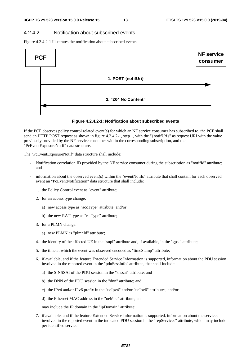#### 4.2.4.2 Notification about subscribed events

Figure 4.2.4.2-1 illustrates the notification about subscribed events.



#### **Figure 4.2.4.2-1: Notification about subscribed events**

If the PCF observes policy control related event(s) for which an NF service consumer has subscribed to, the PCF shall send an HTTP POST request as shown in figure 4.2.4.2-1, step 1, with the "{notifUri}" as request URI with the value previously provided by the NF service consumer within the corresponding subscription, and the "PcEventExposureNotif" data structure.

The "PcEventExposureNotif" data structure shall include:

- Notification correlation ID provided by the NF service consumer during the subscription as "notifId" attribute; and
- information about the observed event(s) within the "eventNotifs" attribute that shall contain for each observed event an "PcEventNotification" data structure that shall include:
	- 1. the Policy Control event as "event" attribute;
	- 2. for an access type change:
		- a) new access type as "accType" attribute; and/or
		- b) the new RAT type as "ratType" attribute;
	- 3. for a PLMN change:
		- a) new PLMN as "plmnId" attribute;
	- 4. the identity of the affected UE in the "supi" attribute and, if available, in the "gpsi" attribute;
	- 5. the time at which the event was observed encoded as "timeStamp" attribute;
	- 6. if available, and if the feature Extended Service Information is supported, information about the PDU session involved in the reported event in the "pduSessInfo" attribute, that shall include:
		- a) the S-NSSAI of the PDU session in the "snssai" attribute; and
		- b) the DNN of the PDU session in the "dnn" attribute; and
		- c) the IPv4 and/or IPv6 prefix in the "ueIpv4" and/or "ueIpv6" attributes; and/or
		- d) the Ethernet MAC address in the "ueMac" attribute; and

may include the IP domain in the "ipDomain" attribute;

7. if available, and if the feature Extended Service Information is supported, information about the services involved in the reported event in the indicated PDU session in the "repServices" attribute, which may include per identified service: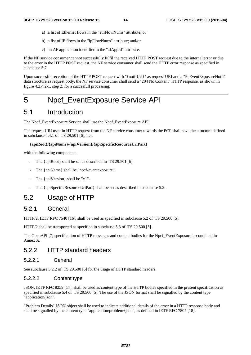- a) a list of Ethernet flows in the "ethFlowNums" attribute; or
- b) a list of IP flows in the "ipFlowNums" attribute; and/or
- c) an AF application identifier in the "afAppId" attribute.

If the NF service consumer cannot successfully fulfil the received HTTP POST request due to the internal error or due to the error in the HTTP POST request, the NF service consumer shall send the HTTP error response as specified in subclause 5.7.

Upon successful reception of the HTTP POST request with "{notifUri}" as request URI and a "PcEventExposureNotif" data structure as request body, the NF service consumer shall send a "204 No Content" HTTP response, as shown in figure 4.2.4.2-1, step 2, for a succesfull processing.

# 5 Npcf\_EventExposure Service API

# 5.1 Introduction

The Npcf\_EventExposure Service shall use the Npcf\_EventExposure API.

The request URI used in HTTP request from the NF service consumer towards the PCF shall have the structure defined in subclause 4.4.1 of TS 29.501 [6], i.e.:

#### **{apiRoot}/{apiName}/{apiVersion}/{apiSpecificResourceUriPart}**

with the following components:

- The {apiRoot} shall be set as described in TS 29.501 [6].
- The {apiName} shall be "npcf-eventexposure".
- The {apiVersion} shall be "v1".
- The {apiSpecificResourceUriPart} shall be set as described in subclause 5.3.

# 5.2 Usage of HTTP

#### 5.2.1 General

HTTP/2, IETF RFC 7540 [16], shall be used as specified in subclause 5.2 of TS 29.500 [5].

HTTP/2 shall be transported as specified in subclause 5.3 of TS 29.500 [5].

The OpenAPI [7] specification of HTTP messages and content bodies for the Npcf\_EventExposure is contained in Annex A.

# 5.2.2 HTTP standard headers

#### 5.2.2.1 General

See subclause 5.2.2 of TS 29.500 [5] for the usage of HTTP standard headers.

#### 5.2.2.2 Content type

JSON, IETF RFC 8259 [17], shall be used as content type of the HTTP bodies specified in the present specification as specified in subclause 5.4 of TS 29.500 [5]. The use of the JSON format shall be signalled by the content type "application/json".

"Problem Details" JSON object shall be used to indicate additional details of the error in a HTTP response body and shall be signalled by the content type "application/problem+json", as defined in IETF RFC 7807 [18].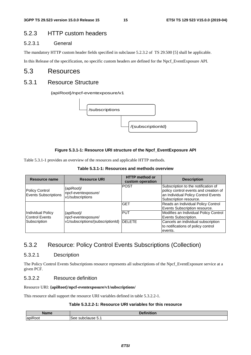### 5.2.3 HTTP custom headers

#### 5.2.3.1 General

The mandatory HTTP custom header fields specified in subclause 5.2.3.2 of TS 29.500 [5] shall be applicable.

In this Release of the specification, no specific custom headers are defined for the Npcf\_EventExposure API.

### 5.3 Resources

### 5.3.1 Resource Structure

#### {apiRoot}/npcf-eventexposure/v1



#### **Figure 5.3.1-1: Resource URI structure of the Npcf\_EventExposure API**

Table 5.3.1-1 provides an overview of the resources and applicable HTTP methods.

|  | Table 5.3.1-1: Resources and methods overview |  |  |  |
|--|-----------------------------------------------|--|--|--|
|--|-----------------------------------------------|--|--|--|

| <b>Resource name</b>                          | <b>Resource URI</b>                                   | <b>HTTP</b> method or<br>custom operation | <b>Description</b>                                                                                                                            |
|-----------------------------------------------|-------------------------------------------------------|-------------------------------------------|-----------------------------------------------------------------------------------------------------------------------------------------------|
| <b>Policy Control</b><br>Events Subscriptions | {apiRoot}/<br>npcf-eventexposure/<br>v1/subscriptions | <b>POST</b>                               | Subscription to the notification of<br>policy control events and creation of<br>an Individual Policy Control Events<br>Subscription resource. |
|                                               |                                                       | <b>GET</b>                                | Reads an Individual Policy Control<br>Events Subscription resource.                                                                           |
| Individual Policy<br>Control Events           | {apiRoot}/<br>npcf-eventexposure/                     | <b>PUT</b>                                | Modifies an Individual Policy Control<br>Events Subscription.                                                                                 |
| Subscription                                  | v1/subscriptions/{subscriptionId} DELETE              |                                           | Cancels an individual subscription<br>to notifications of policy control<br>events.                                                           |

# 5.3.2 Resource: Policy Control Events Subscriptions (Collection)

#### 5.3.2.1 Description

The Policy Control Events Subscriptions resource represents all subscriptions of the Npcf\_EventExposure service at a given PCF.

#### 5.3.2.2 Resource definition

#### Resource URI: **{apiRoot}/npcf-eventexposure/v1/subscriptions/**

This resource shall support the resource URI variables defined in table 5.3.2.2-1.

#### **Table 5.3.2.2-1: Resource URI variables for this resource**

| <b>Name</b>                | $\cdots$<br>$\mathbf{r}$<br>_ |
|----------------------------|-------------------------------|
| $\cdot$ $-$<br>lanik<br>יי | use J.                        |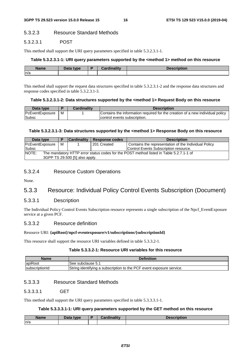#### 5.3.2.3 Resource Standard Methods

#### 5.3.2.3.1 POST

This method shall support the URI query parameters specified in table 5.3.2.3.1-1.

#### **Table 5.3.2.3.1-1: URI query parameters supported by the <method 1> method on this resource**

| <b>Name</b> | <b>Pata type</b><br>Dala | D | والمقالح ومقالوهم | :ription |
|-------------|--------------------------|---|-------------------|----------|
| n/a         |                          |   |                   |          |

This method shall support the request data structures specified in table 5.3.2.3.1-2 and the response data structures and response codes specified in table 5.3.2.3.1-3.

#### **Table 5.3.2.3.1-2: Data structures supported by the <method 1> Request Body on this resource**

| Data type       |   | <b>Cardinality</b> | <b>Description</b>                                                            |
|-----------------|---|--------------------|-------------------------------------------------------------------------------|
| PcEventExposure | м |                    | Contains the information required for the creation of a new individual policy |
| <b>Subsc</b>    |   |                    | control events subscription.                                                  |

#### **Table 5.3.2.3.1-3: Data structures supported by the <method 1> Response Body on this resource**

| Data type                                                                                       |  | <b>Cardinality</b> | <b>Response codes</b>                 | <b>Description</b>                                   |  |  |
|-------------------------------------------------------------------------------------------------|--|--------------------|---------------------------------------|------------------------------------------------------|--|--|
| м<br>PcEventExposure                                                                            |  |                    | 201 Created                           | Contains the representation of the Individual Policy |  |  |
| Subsc                                                                                           |  |                    | Control Events Subscription resource. |                                                      |  |  |
| NOTE:<br>The mandatory HTTP error status codes for the POST method listed in Table 5.2.7.1-1 of |  |                    |                                       |                                                      |  |  |
| 3GPP TS 29.500 [5] also apply.                                                                  |  |                    |                                       |                                                      |  |  |

#### 5.3.2.4 Resource Custom Operations

None.

# 5.3.3 Resource: Individual Policy Control Events Subscription (Document)

#### 5.3.3.1 Description

The Individual Policy Control Events Subscription resource represents a single subscription of the Npcf\_EventExposure service at a given PCF.

#### 5.3.3.2 Resource definition

#### Resource URI: **{apiRoot}/npcf-eventexposure/v1/subscriptions/{subscriptionId}**

This resource shall support the resource URI variables defined in table 5.3.3.2-1.

#### **Table 5.3.3.2-1: Resource URI variables for this resource**

| <b>Name</b>            | <b>Definition</b>                                                    |
|------------------------|----------------------------------------------------------------------|
| apiRoot                | ISee subclause 5.1                                                   |
| <b>IsubscriptionId</b> | String identifying a subscription to the PCF event exposure service. |

#### 5.3.3.3 Resource Standard Methods

#### 5.3.3.3.1 GET

This method shall support the URI query parameters specified in table 5.3.3.3.1-1.

#### **Table 5.3.3.3.1-1: URI query parameters supported by the GET method on this resource**

| Name | <b>Pata type</b><br>Dala | $-$ in ality $-$ | Description |
|------|--------------------------|------------------|-------------|
| n/a  |                          |                  |             |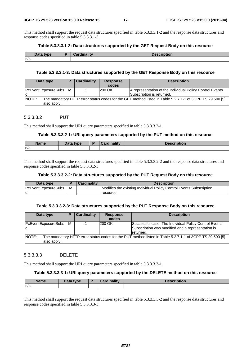This method shall support the request data structures specified in table 5.3.3.3.1-2 and the response data structures and response codes specified in table 5.3.3.3.1-3.

#### **Table 5.3.3.3.1-2: Data structures supported by the GET Request Body on this resource**

| Data type | <br>Million of March<br><b>COL</b> | <b>Description</b> |
|-----------|------------------------------------|--------------------|
| n/a       |                                    |                    |

#### **Table 5.3.3.3.1-3: Data structures supported by the GET Response Body on this resource**

| Data type                                                                                                                        |  | Cardinality | <b>Response</b><br>codes | <b>Description</b>                                                                    |  |  |
|----------------------------------------------------------------------------------------------------------------------------------|--|-------------|--------------------------|---------------------------------------------------------------------------------------|--|--|
| PcEventExposureSubs   M<br>ΙC                                                                                                    |  |             | <b>200 OK</b>            | A representation of the Individual Policy Control Events<br>Subscription is returned. |  |  |
| NOTE:<br>The mandatory HTTP error status codes for the GET method listed in Table 5.2.7.1-1 of 3GPP TS 29.500 [5]<br>also apply. |  |             |                          |                                                                                       |  |  |

#### 5.3.3.3.2 PUT

This method shall support the URI query parameters specified in table 5.3.3.3.2-1.

#### **Table 5.3.3.3.2-1: URI query parameters supported by the PUT method on this resource**

| <b>Name</b> | Data type<br>Puw |  | tion |
|-------------|------------------|--|------|
| ln/a        |                  |  |      |

This method shall support the request data structures specified in table 5.3.3.3.2-2 and the response data structures and response codes specified in table 5.3.3.3.2-3.

#### **Table 5.3.3.3.2-2: Data structures supported by the PUT Request Body on this resource**

| Data type                  |   | <b>Cardinality</b> | <b>Description</b>                                                  |
|----------------------------|---|--------------------|---------------------------------------------------------------------|
| <b>PcEventExposureSubs</b> | м |                    | Modifies the existing Individual Policy Control Events Subscription |
|                            |   |                    | resource.                                                           |

#### **Table 5.3.3.3.2-3: Data structures supported by the PUT Response Body on this resource**

| Data type                                                                                                                               |     | <b>Cardinality</b> | <b>Response</b><br>codes | <b>Description</b>                                                                                                       |  |  |  |
|-----------------------------------------------------------------------------------------------------------------------------------------|-----|--------------------|--------------------------|--------------------------------------------------------------------------------------------------------------------------|--|--|--|
| PcEventExposureSubs<br>ΙC                                                                                                               | l M |                    | 200 OK                   | Successful case: The Individual Policy Control Events<br>Subscription was modified and a representation is<br>Ireturned. |  |  |  |
| <b>NOTE:</b><br>The mandatory HTTP error status codes for the PUT method listed in Table 5.2.7.1-1 of 3GPP TS 29.500 [5]<br>also apply. |     |                    |                          |                                                                                                                          |  |  |  |

#### 5.3.3.3.3 DELETE

This method shall support the URI query parameters specified in table 5.3.3.3.3-1.

#### **Table 5.3.3.3.3-1: URI query parameters supported by the DELETE method on this resource**

| <b>Name</b> | Data type | <b>Cardinality</b><br><b>Pordu</b> | <b>Description</b> |
|-------------|-----------|------------------------------------|--------------------|
| n/a         |           |                                    |                    |

This method shall support the request data structures specified in table 5.3.3.3.3-2 and the response data structures and response codes specified in table 5.3.3.3.3-3.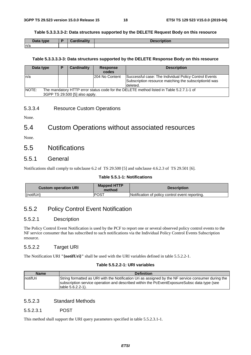#### **Table 5.3.3.3.3-2: Data structures supported by the DELETE Request Body on this resource**

| Data type | and in a little of<br>ainality | <b>Description</b> |
|-----------|--------------------------------|--------------------|
| n/a       |                                |                    |

#### **Table 5.3.3.3.3-3: Data structures supported by the DELETE Response Body on this resource**

| Data type |                                                                                                                           | Ð | Cardinality | <b>Response</b><br>codes | <b>Description</b>                                                                                                         |  |
|-----------|---------------------------------------------------------------------------------------------------------------------------|---|-------------|--------------------------|----------------------------------------------------------------------------------------------------------------------------|--|
| ln/a      |                                                                                                                           |   |             | I204 No Content          | Successful case: The Individual Policy Control Events<br>Subscription resource matching the subscription d was<br>deleted. |  |
| NOTE:     | The mandatory HTTP error status code for the DELETE method listed in Table 5.2.7.1-1 of<br>3GPP TS 29.500 [5] also apply. |   |             |                          |                                                                                                                            |  |

#### 5.3.3.4 Resource Custom Operations

None.

# 5.4 Custom Operations without associated resources

None.

# 5.5 Notifications

#### 5.5.1 General

Notifications shall comply to subclause 6.2 of TS 29.500 [5] and subclause 4.6.2.3 of TS 29.501 [6].

#### **Table 5.5.1-1: Notifications**

| <b>Custom operation URI</b> | <b>Mapped HTTP</b><br>method | <b>Description</b>                              |
|-----------------------------|------------------------------|-------------------------------------------------|
| {notifUri}                  | <b>POST</b>                  | Notification of policy control event reporting. |

### 5.5.2 Policy Control Event Notification

#### 5.5.2.1 Description

The Policy Control Event Notification is used by the PCF to report one or several observed policy control events to the NF service consumer that has subscribed to such notifications via the Individual Policy Control Events Subscription resource.

#### 5.5.2.2 Target URI

The Notification URI **"{notifUri}"** shall be used with the URI variables defined in table 5.5.2.2-1.

#### **Table 5.5.2.2-1: URI variables**

| <b>Name</b>      | <b>Definition</b>                                                                                                                                                                                                             |
|------------------|-------------------------------------------------------------------------------------------------------------------------------------------------------------------------------------------------------------------------------|
| <b>InotifUri</b> | String formatted as URI with the Notification Uri as assigned by the NF service consumer during the<br>subscription service operation and described within the PcEventExposureSubsc data type (see<br>Itable $5.6.2.2 - 1$ ). |

#### 5.5.2.3 Standard Methods

#### 5.5.2.3.1 POST

This method shall support the URI query parameters specified in table 5.5.2.3.1-1.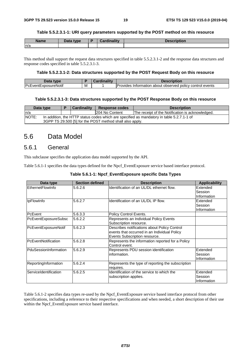#### **Table 5.5.2.3.1-1: URI query parameters supported by the POST method on this resource**

| <b>Name</b> | Data type | <b>Cardinality</b> | <b>Description</b> |
|-------------|-----------|--------------------|--------------------|
| n/a         |           |                    |                    |

This method shall support the request data structures specified in table 5.5.2.3.1-2 and the response data structures and response codes specified in table 5.5.2.3.1-3.

#### **Table 5.5.2.3.1-2: Data structures supported by the POST Request Body on this resource**

| Data<br><b>type</b>         |     | <b>THE 24</b><br>иша | Description                                                                           |
|-----------------------------|-----|----------------------|---------------------------------------------------------------------------------------|
| <b>PcEventExposureNotif</b> | ΙVΙ |                      | <b>IProvides</b><br>policy control events *<br>about observed <b>r</b><br>Information |

#### **Table 5.5.2.3.1-3: Data structures supported by the POST Response Body on this resource**

| Data type                                                                                                 |                                                          |  | <b>Cardinality</b> | Response codes  | <b>Description</b>                               |  |  |  |
|-----------------------------------------------------------------------------------------------------------|----------------------------------------------------------|--|--------------------|-----------------|--------------------------------------------------|--|--|--|
| In/a                                                                                                      |                                                          |  |                    | 1204 No Content | The receipt of the Notification is acknowledged. |  |  |  |
| <b>NOTE:</b><br>In addition, the HTTP status codes which are specified as mandatory in table 5.2.7.1-1 of |                                                          |  |                    |                 |                                                  |  |  |  |
|                                                                                                           | 3GPP TS 29.500 [5] for the POST method shall also apply. |  |                    |                 |                                                  |  |  |  |

# 5.6 Data Model

### 5.6.1 General

This subclause specifies the application data model supported by the API.

Table 5.6.1-1 specifies the data types defined for the Npcf\_EventExposure service based interface protocol.

| Data type                    | <b>Section defined</b> | <b>Description</b>                                | <b>Applicability</b> |
|------------------------------|------------------------|---------------------------------------------------|----------------------|
| EthernetFlowInfo             | 5.6.2.6                | Identification of an UL/DL ethernet flow.         | Extended             |
|                              |                        |                                                   | Session              |
|                              |                        |                                                   | Information          |
| IpFlowInfo                   | 5.6.2.7                | Identification of an UL/DL IP flow.               | Extended             |
|                              |                        |                                                   | Session              |
|                              |                        |                                                   | Information          |
| PcEvent                      | 5.6.3.3                | Policy Control Events.                            |                      |
| PcEventExposureSubsc         | 5.6.2.2                | Represents an Individual Policy Events            |                      |
|                              |                        | Subscription resource.                            |                      |
| PcEventExposureNotif         | 5.6.2.3                | Describes notifications about Policy Control      |                      |
|                              |                        | events that occurred in an Individual Policy      |                      |
|                              |                        | Events Subscription resource.                     |                      |
| <b>IPcEventNotification</b>  | 5.6.2.8                | Represents the information reported for a Policy  |                      |
|                              |                        | Control event.                                    |                      |
| <b>PduSessionInformation</b> | 5.6.2.9                | Represents PDU session identification             | Extended             |
|                              |                        | information.                                      | Session              |
|                              |                        |                                                   | Information          |
| ReportingInformation         | 5.6.2.4                | Represents the type of reporting the subscription |                      |
|                              |                        | requires.                                         |                      |
| ServiceIdentification        | 5.6.2.5                | Identification of the service to which the        | Extended             |
|                              |                        | subscription applies.                             | Session              |
|                              |                        |                                                   | Information          |

#### **Table 5.6.1-1: Npcf\_EventExposure specific Data Types**

Table 5.6.1-2 specifies data types re-used by the Npcf\_EventExposure service based interface protocol from other specifications, including a reference to their respective specifications and when needed, a short description of their use within the Npcf\_EventExposure service based interface.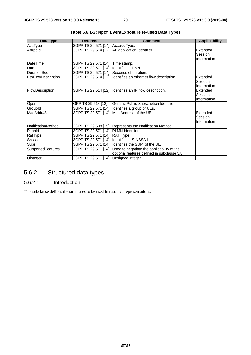| Data type          | <b>Reference</b>    | <b>Comments</b>                             | <b>Applicability</b> |
|--------------------|---------------------|---------------------------------------------|----------------------|
| AccType            | 3GPP TS 29.571 [14] | Access Type.                                |                      |
| AfAppId            | 3GPP TS 29.514 [12] | AF application Identifier.                  | Extended             |
|                    |                     |                                             | Session              |
|                    |                     |                                             | Information          |
| DateTime           | 3GPP TS 29.571 [14] | Time stamp.                                 |                      |
| Dnn                | 3GPP TS 29.571 [14] | Identifies a DNN.                           |                      |
| <b>DurationSec</b> | 3GPP TS 29.571 [14] | Seconds of duration.                        |                      |
| EthFlowDescription | 3GPP TS 29.514 [12] | Identifies an ethernet flow description.    | Extended             |
|                    |                     |                                             | Session              |
|                    |                     |                                             | Information          |
| FlowDescription    | 3GPP TS 29.514 [12] | Identifies an IP flow description.          | Extended             |
|                    |                     |                                             | Session              |
|                    |                     |                                             | Information          |
| Gpsi               | GPP TS 29.514 [12]  | Generic Public Subscription Identifier.     |                      |
| GroupId            | 3GPP TS 29.571 [14] | Identifies a group of UEs.                  |                      |
| MacAddr48          | 3GPP TS 29.571 [14] | Mac Address of the UE.                      | Extended             |
|                    |                     |                                             | Session              |
|                    |                     |                                             | Information          |
| NotificationMethod | 3GPP TS 29.508 [15] | Represents the Notification Method.         |                      |
| Plmnld             | 3GPP TS 29.571 [14] | <b>PLMN</b> Identifier.                     |                      |
| RatType            | 3GPP TS 29.571 [14] | RAT Type.                                   |                      |
| Snssai             | 3GPP TS 29.571 [14] | Identifies a S-NSSA.I                       |                      |
| Supi               | 3GPP TS 29.571 [14] | Identifies the SUPI of the UE.              |                      |
| SupportedFeatures  | 3GPP TS 29.571 [14] | Used to negotiate the applicability of the  |                      |
|                    |                     | optional features defined in subclause 5.8. |                      |
| Uinteger           | 3GPP TS 29.571 [14] | Unsigned integer.                           |                      |

|  | Table 5.6.1-2: Npcf_EventExposure re-used Data Types |
|--|------------------------------------------------------|
|--|------------------------------------------------------|

# 5.6.2 Structured data types

### 5.6.2.1 Introduction

This subclause defines the structures to be used in resource representations.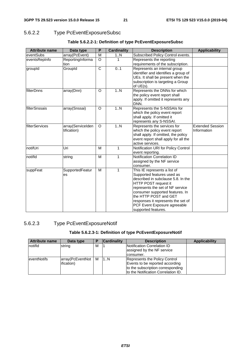# 5.6.2.2 Type PcEventExposureSubsc

| <b>Attribute name</b> | Data type                        | P                     | <b>Cardinality</b> | <b>Description</b>                                                                                                                                                                                                                                                                                                    | <b>Applicability</b>                   |
|-----------------------|----------------------------------|-----------------------|--------------------|-----------------------------------------------------------------------------------------------------------------------------------------------------------------------------------------------------------------------------------------------------------------------------------------------------------------------|----------------------------------------|
| eventSubs             | array(PcEvent)                   | M                     | 1N                 | Subscribed Policy Control events.                                                                                                                                                                                                                                                                                     |                                        |
| eventsRepInfo         | ReportingInforma                 | $\Omega$              | 1                  | Represents the reporting                                                                                                                                                                                                                                                                                              |                                        |
|                       | tion                             |                       |                    | requirements of the subscription.                                                                                                                                                                                                                                                                                     |                                        |
| groupId               | GroupId                          | $\overline{\text{c}}$ | 0.1                | Represents an internal group<br>identifier and identifies a group of<br>UEs. It shall be present when the<br>subscription is targeting a Group<br>of $UE(s)$ .                                                                                                                                                        |                                        |
| filterDnns            | array(Dnn)                       | $\Omega$              | 1.N                | Represents the DNNs for which<br>the policy event report shall<br>apply. If omitted it represents any<br>DNN.                                                                                                                                                                                                         |                                        |
| filterSnssais         | array(Snssai)                    | O                     | 1.N                | Represents the S-NSSAIs for<br>which the policy event report<br>shall apply. If omitted it<br>represents any S-NSSAI.                                                                                                                                                                                                 |                                        |
| filterServices        | array(ServiceIden<br>tification) | $\Omega$              | 1N                 | Represents the services for<br>which the policy event report<br>shall apply. If omitted, the policy<br>event report shall apply for all the<br>active services.                                                                                                                                                       | <b>Extended Session</b><br>Information |
| notifUri              | Uri                              | M                     | $\mathbf{1}$       | Notification URI for Policy Control<br>event reporting.                                                                                                                                                                                                                                                               |                                        |
| notifld               | string                           | M                     | 1                  | Notification Correlation ID<br>assigned by the NF service<br>consumer.                                                                                                                                                                                                                                                |                                        |
| suppFeat              | SupportedFeatur<br>es            | M                     | 1                  | This IE represents a list of<br>Supported features used as<br>described in subclause 5.8. In the<br>HTTP POST request it<br>represents the set of NF service<br>consumer supported features. In<br>the HTTP POST and GET<br>responses it represents the set of<br>PCF Event Exposure agreeable<br>supported features. |                                        |

#### **Table 5.6.2.2-1: Definition of type PcEventExposureSubsc**

### 5.6.2.3 Type PcEventExposureNotif

### **Table 5.6.2.3-1: Definition of type PcEventExposureNotif**

| <b>Attribute name</b> | Data type        |   | <b>Cardinality</b> | <b>Description</b>                                        | <b>Applicability</b> |
|-----------------------|------------------|---|--------------------|-----------------------------------------------------------|----------------------|
| notifid               | string           | м |                    | Notification Correlation ID<br>assigned by the NF service |                      |
|                       |                  |   |                    | consumer.                                                 |                      |
| <b>eventNotifs</b>    | array(PcEventNot | M | 1N                 | Represents the Policy Control                             |                      |
|                       | ification)       |   |                    | Events to be reported according                           |                      |
|                       |                  |   |                    | to the subscription corresponding                         |                      |
|                       |                  |   |                    | to the Notification Correlation ID.                       |                      |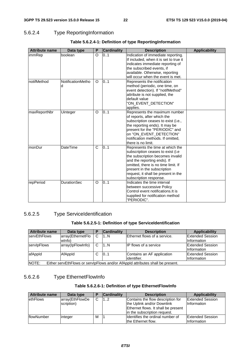### 5.6.2.4 Type ReportingInformation

| <b>Attribute name</b> | Data type              | P       | <b>Cardinality</b> | <b>Description</b>                                                                                                                                                                                                                                                               | <b>Applicability</b> |
|-----------------------|------------------------|---------|--------------------|----------------------------------------------------------------------------------------------------------------------------------------------------------------------------------------------------------------------------------------------------------------------------------|----------------------|
| immRep                | boolean                | O       | 0.1                | Indication of immediate reporting.<br>If included, when it is set to true it<br>indicates immediate reporting of<br>the subscribed events, if<br>available. Otherwise, reporting<br>will occur when the event is met.                                                            |                      |
| notifMethod           | NotificationMetho<br>d | $\circ$ | 0.1                | Represents the notification<br>method (periodic, one time, on<br>event detection). If "notifMethod"<br>attribute is not supplied, the<br>default value<br>"ON_EVENT_DETECTION"<br>applies.                                                                                       |                      |
| maxReportNbr          | Uinteger               | O       | 01                 | Represents the maximum number<br>of reports, after which the<br>subscription ceases to exist (i.e.,<br>the reporting ends). It may be<br>present for the "PERIODIC" and<br>on "ON_EVENT_DETECTION"<br>notification methods. If omitted,<br>there is no limit.                    |                      |
| monDur                | <b>DateTime</b>        | C       | 01                 | Represents the time at which the<br>subscription ceases to exist (i.e.<br>the subscription becomes invalid<br>and the reporting ends). If<br>omitted, there is no time limit. If<br>present in the subscription<br>request, it shall be present in the<br>subscription response. |                      |
| repPeriod             | <b>DurationSec</b>     | $\circ$ | 0.1                | Indicates the time interval<br>between successive Policy<br>Control event notifications. It is<br>supplied for notification method<br>"PERIODIC".                                                                                                                                |                      |

#### **Table 5.6.2.4-1: Definition of type ReportingInformation**

### 5.6.2.5 Type ServiceIdentification

### **Table 5.6.2.5-1: Definition of type ServiceIdentification**

| Attribute name                                                                          | Data type                   |    | <b>Cardinality</b> | <b>Description</b>                        | Applicability                          |  |
|-----------------------------------------------------------------------------------------|-----------------------------|----|--------------------|-------------------------------------------|----------------------------------------|--|
| <b>servEthFlows</b>                                                                     | array(EthernetFlo<br>wlnfo) |    | 1N                 | Ethernet flows of a service.              | <b>Extended Session</b><br>Information |  |
| servipFlows                                                                             | array(lpFlowInfo)           | C  | 1N                 | <b>IP flows of a service</b>              | <b>Extended Session</b><br>Information |  |
| afAppId                                                                                 | AfAppId                     | C. | 101                | Contains an AF application<br>identifier. | <b>Extended Session</b><br>Information |  |
| NOTE:<br>Either servEthFlows or servipFlows and/or AfAppid attributes shall be present. |                             |    |                    |                                           |                                        |  |

# 5.6.2.6 Type EthernetFlowInfo

#### **Table 5.6.2.6-1: Definition of type EthernetFlowInfo**

| <b>Attribute name</b> | Data type       | Е | <b>Cardinality</b> | <b>Description</b>                  | <b>Applicability</b>    |
|-----------------------|-----------------|---|--------------------|-------------------------------------|-------------------------|
| <b>lethFlows</b>      | array(EthFlowDe | C | 12                 | Contains the flow description for   | <b>Extended Session</b> |
|                       | scription)      |   |                    | the Uplink and/or Downlink          | Information             |
|                       |                 |   |                    | Ethernet flows. It shall be present |                         |
|                       |                 |   |                    | in the subscription request.        |                         |
| <b>IflowNumber</b>    | integer         | м |                    | Ildentifies the ordinal number of   | <b>Extended Session</b> |
|                       |                 |   |                    | the Ethernet flow.                  | Information             |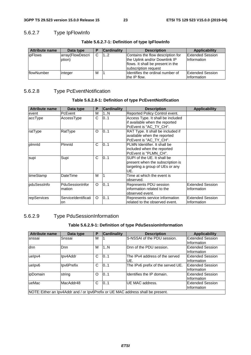### 5.6.2.7 Type IpFlowInfo

| Attribute name | Data type                  |   | <b>Cardinality</b> | <b>Description</b>                                                                                                              | <b>Applicability</b>                          |
|----------------|----------------------------|---|--------------------|---------------------------------------------------------------------------------------------------------------------------------|-----------------------------------------------|
| <i>ipFlows</i> | array(FlowDescri<br>ption) | С | 12                 | Contains the flow description for<br>the Uplink and/or Downlink IP<br>flows. It shall be present in the<br>subscription request | <b>Extended Session</b><br><b>Information</b> |
| flowNumber     | integer                    | M |                    | Ildentifies the ordinal number of<br>the IP flow.                                                                               | <b>Extended Session</b><br>Information        |

#### **Table 5.6.2.7-1: Definition of type IpFlowInfo**

# 5.6.2.8 Type PcEventNotification

#### **Table 5.6.2.8-1: Definition of type PcEventNotification**

| <b>Attribute name</b> | Data type                 | P       | <b>Cardinality</b> | <b>Description</b>                                                                                        | <b>Applicability</b>                   |
|-----------------------|---------------------------|---------|--------------------|-----------------------------------------------------------------------------------------------------------|----------------------------------------|
| event                 | <b>PcEvent</b>            | M       | 1N                 | Reported Policy Control event.                                                                            |                                        |
| accType               | AccessType                | C       | 0.1                | Access Type. It shall be included<br>if available when the reported<br>PcEvent is "AC_TY_CH".             |                                        |
| ratType               | RatType                   | O       | 0.1                | RAT Type. It shall be included if<br>available when the reported<br>PcEvent is "AC_TY_CH".                |                                        |
| plmnld                | Plmnld                    | C       | 0.1                | PLMN Identifier. It shall be<br>included when the reported<br>PcEvent is "PLMN_CH".                       |                                        |
| supi                  | Supi                      | C       | 0.1                | SUPI of the UE. It shall be<br>present when the subscription is<br>targeting a group of UEs or any<br>UE. |                                        |
| timeStamp             | DateTime                  | M       |                    | Time at which the event is<br>observed.                                                                   |                                        |
| pduSessInfo           | PduSessionInfor<br>mation | $\circ$ | 0.1                | Represents PDU session<br>information related to the<br>observed event.                                   | <b>Extended Session</b><br>Information |
| repServices           | ServiceIdentificati<br>on | $\circ$ | 0.1                | Represents service information<br>related to the observed event.                                          | <b>Extended Session</b><br>Information |

### 5.6.2.9 Type PduSessionInformation

#### **Table 5.6.2.9-1: Definition of type PduSessionInformation**

| <b>Attribute name</b> | Data type  | Р | <b>Cardinality</b> | <b>Description</b>                                                               | <b>Applicability</b>    |
|-----------------------|------------|---|--------------------|----------------------------------------------------------------------------------|-------------------------|
| snssai                | Snssai     | м |                    | S-NSSAI of the PDU session.                                                      | <b>Extended Session</b> |
|                       |            |   |                    |                                                                                  | Information             |
| dnn                   | Dnn        | M | 1N                 | Dnn of the PDU session.                                                          | <b>Extended Session</b> |
|                       |            |   |                    |                                                                                  | Information             |
| uelpv4                | Ipv4Addr   | C | 0.1                | The IPv4 address of the served                                                   | <b>Extended Session</b> |
|                       |            |   |                    | IUE.                                                                             | Information             |
| uelpv6                | Ipv6Prefix | C | 10.1               | The IPv6 prefix of the served UE.                                                | <b>Extended Session</b> |
|                       |            |   |                    |                                                                                  | Information             |
| ipDomain              | string     | O | 0.1                | Identifies the IP domain.                                                        | <b>Extended Session</b> |
|                       |            |   |                    |                                                                                  | Information             |
| ueMac                 | MacAddr48  | C | 101                | UE MAC address.                                                                  | Extended Session        |
|                       |            |   |                    |                                                                                  | Information             |
|                       |            |   |                    | NOTE: Either an Ipv4Addr and / or Ipv6Prefix or UE MAC address shall be present. |                         |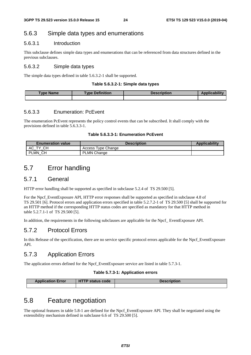# 5.6.3 Simple data types and enumerations

#### 5.6.3.1 Introduction

This subclause defines simple data types and enumerations that can be referenced from data structures defined in the previous subclauses.

#### 5.6.3.2 Simple data types

The simple data types defined in table 5.6.3.2-1 shall be supported.

#### **Table 5.6.3.2-1: Simple data types**

| <b>Type Name</b> | <b>Type Definition</b> | Description | .<br><b>Applicability</b> |
|------------------|------------------------|-------------|---------------------------|
|                  |                        |             |                           |

#### 5.6.3.3 Enumeration: PcEvent

The enumeration PcEvent represents the policy control events that can be subscribed. It shall comply with the provisions defined in table 5.6.3.3-1.

#### **Table 5.6.3.3-1: Enumeration PcEvent**

| <b>Enumeration value</b> | <b>Description</b>           | <b>Applicability</b> |
|--------------------------|------------------------------|----------------------|
| <b>CH</b><br>АC<br>᠇៶    | <b>Type Change</b><br>Access |                      |
| PLMN CH                  | <b>PLMN Change</b>           |                      |

# 5.7 Error handling

### 5.7.1 General

HTTP error handling shall be supported as specified in subclause 5.2.4 of TS 29.500 [5].

For the Npcf. EventExposure API, HTTP error responses shall be supported as specified in subclause 4.8 of TS 29.501 [6]. Protocol errors and application errors specified in table 5.2.7.2-1 of TS 29.500 [5] shall be supported for an HTTP method if the corresponding HTTP status codes are specified as mandatory for that HTTP method in table 5.2.7.1-1 of TS 29.500 [5].

In addition, the requirements in the following subclauses are applicable for the Npcf\_ EventExposure API.

### 5.7.2 Protocol Errors

In this Release of the specification, there are no service specific protocol errors applicable for the Npcf\_EventExposure API.

# 5.7.3 Application Errors

The application errors defined for the Npcf\_EventExposure service are listed in table 5.7.3-1.

#### **Table 5.7.3-1: Application errors**

| <b>Application Error</b> | <b>HTTP status code</b> | Description |
|--------------------------|-------------------------|-------------|
|                          |                         |             |

# 5.8 Feature negotiation

The optional features in table 5.8-1 are defined for the Npcf\_EventExposure API. They shall be negotiated using the extensibility mechanism defined in subclause 6.6 of TS 29.500 [5].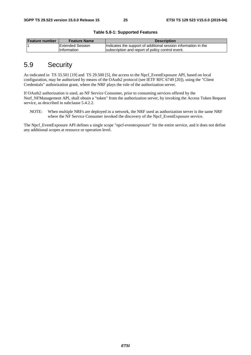| <b>Feature number</b> | <b>Feature Name</b>      | <b>Description</b>                                             |
|-----------------------|--------------------------|----------------------------------------------------------------|
|                       | <b>IExtended Session</b> | Indicates the support of additional session information in the |
|                       | <b>Information</b>       | subscription and report of policy control event.               |

**Table 5.8-1: Supported Features** 

# 5.9 Security

As indicated in TS 33.501 [19] and TS 29.500 [5], the access to the Npcf\_EventExposure API, based on local configuration, may be authorized by means of the OAuth2 protocol (see IETF RFC 6749 [20]), using the "Client Credentials" authorization grant, where the NRF plays the role of the authorization server.

If OAuth2 authorization is used, an NF Service Consumer, prior to consuming services offered by the Nnrf\_NFManagement API, shall obtain a "token" from the authorization server, by invoking the Access Token Request service, as described in subclause 5.4.2.2.

NOTE: When multiple NRFs are deployed in a network, the NRF used as authorization server is the same NRF where the NF Service Consumer invoked the discovery of the Npcf\_EventExposure service.

The Npcf\_EventExposure API defines a single scope "npcf-eventexposure" for the entire service, and it does not define any additional scopes at resource or operation level.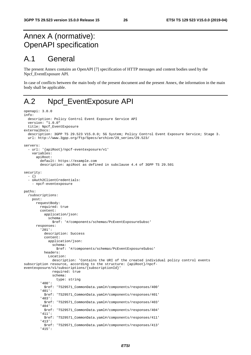# Annex A (normative): OpenAPI specification

# A.1 General

The present Annex contains an OpenAPI [7] specification of HTTP messages and content bodies used by the Npcf\_EventExposure API.

In case of conflicts between the main body of the present document and the present Annex, the information in the main body shall be applicable.

# A.2 Npcf\_EventExposure API

```
openapi: 3.0.0 
info: 
   description: Policy Control Event Exposure Service API 
   version: "1.0.0" 
   title: Npcf_EventExposure 
externalDocs: 
   description: 3GPP TS 29.523 V15.0.0; 5G System; Policy Control Event Exposure Service; Stage 3. 
   url: http://www.3gpp.org/ftp/Specs/archive/29_series/29.523/ 
servers: 
   - url: '{apiRoot}/npcf-eventexposure/v1' 
     variables: 
       apiRoot: 
         default: https://example.com 
         description: apiRoot as defined in subclause 4.4 of 3GPP TS 29.501 
security: 
   - {} 
   - oAuth2ClientCredentials: 
     - npcf-eventexposure 
paths: 
   /subscriptions: 
     post: 
       requestBody: 
         required: true 
         content: 
           application/json: 
              schema: 
                $ref: '#/components/schemas/PcEventExposureSubsc' 
       responses: 
          '201': 
           description: Success 
            content: 
              application/json: 
                schema: 
                  $ref: '#/components/schemas/PcEventExposureSubsc' 
           headers: 
              Location: 
                description: 'Contains the URI of the created individual policy control events 
subscription resource, according to the structure: {apiRoot}/npcf-
eventexposure/v1/subscriptions/{subscriptionId}' 
                required: true 
                schema: 
                  type: string 
          '400': 
            $ref: 'TS29571_CommonData.yaml#/components/responses/400' 
          '401': 
           $ref: 'TS29571_CommonData.yaml#/components/responses/401' 
          '403': 
            $ref: 'TS29571_CommonData.yaml#/components/responses/403' 
          '404': 
            $ref: 'TS29571_CommonData.yaml#/components/responses/404' 
          '411': 
           $ref: 'TS29571_CommonData.yaml#/components/responses/411' 
          '413': 
            $ref: 'TS29571_CommonData.yaml#/components/responses/413' 
          '415':
```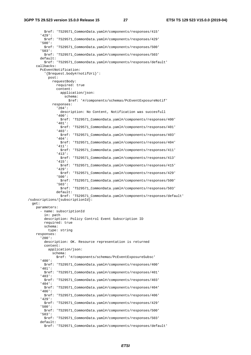\$ref: 'TS29571\_CommonData.yaml#/components/responses/415' '429': \$ref: 'TS29571\_CommonData.yaml#/components/responses/429' '500': \$ref: 'TS29571\_CommonData.yaml#/components/responses/500' '503': \$ref: 'TS29571\_CommonData.yaml#/components/responses/503' default: \$ref: 'TS29571\_CommonData.yaml#/components/responses/default' callbacks: PcEventNotification: '{\$request.body#/notifUri}': post: requestBody: required: true content: application/json: schema: \$ref: '#/components/schemas/PcEventExposureNotif' responses: '204': description: No Content, Notification was succesfull '400': \$ref: 'TS29571\_CommonData.yaml#/components/responses/400' '401': \$ref: 'TS29571\_CommonData.yaml#/components/responses/401' '403': \$ref: 'TS29571\_CommonData.yaml#/components/responses/403' '404': \$ref: 'TS29571\_CommonData.yaml#/components/responses/404' '411': \$ref: 'TS29571\_CommonData.yaml#/components/responses/411' '413': \$ref: 'TS29571\_CommonData.yaml#/components/responses/413' '415': \$ref: 'TS29571\_CommonData.yaml#/components/responses/415' '429': \$ref: 'TS29571\_CommonData.yaml#/components/responses/429' '500': \$ref: 'TS29571\_CommonData.yaml#/components/responses/500' '503': \$ref: 'TS29571\_CommonData.yaml#/components/responses/503' default: \$ref: 'TS29571\_CommonData.yaml#/components/responses/default' /subscriptions/{subscriptionId}: get: parameters: - name: subscriptionId in: path description: Policy Control Event Subscription ID required: true schema: type: string responses: '200': description: OK. Resource representation is returned content: application/json: schema: \$ref: '#/components/schemas/PcEventExposureSubsc' '400': \$ref: 'TS29571\_CommonData.yaml#/components/responses/400' '401': \$ref: 'TS29571\_CommonData.yaml#/components/responses/401' '403': \$ref: 'TS29571\_CommonData.yaml#/components/responses/403' '404': \$ref: 'TS29571\_CommonData.yaml#/components/responses/404' '406': \$ref: 'TS29571\_CommonData.yaml#/components/responses/406' '429': \$ref: 'TS29571\_CommonData.yaml#/components/responses/429' '500': \$ref: 'TS29571\_CommonData.yaml#/components/responses/500' '503': \$ref: 'TS29571\_CommonData.yaml#/components/responses/503' default: \$ref: 'TS29571\_CommonData.yaml#/components/responses/default'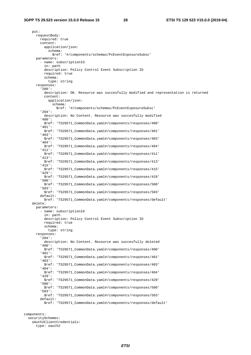put: requestBody: required: true content: application/json: schema: \$ref: '#/components/schemas/PcEventExposureSubsc' parameters: - name: subscriptionId in: path description: Policy Control Event Subscription ID required: true schema: type: string responses: '200': description: OK. Resource was succesfully modified and representation is returned content: application/json: schema: \$ref: '#/components/schemas/PcEventExposureSubsc' '204': description: No Content. Resource was succesfully modified '400': \$ref: 'TS29571\_CommonData.yaml#/components/responses/400' '401': \$ref: 'TS29571\_CommonData.yaml#/components/responses/401' '403': \$ref: 'TS29571\_CommonData.yaml#/components/responses/403' '404': \$ref: 'TS29571\_CommonData.yaml#/components/responses/404' '411': \$ref: 'TS29571\_CommonData.yaml#/components/responses/411' '413': \$ref: 'TS29571\_CommonData.yaml#/components/responses/413' '415': \$ref: 'TS29571\_CommonData.yaml#/components/responses/415' '429': \$ref: 'TS29571\_CommonData.yaml#/components/responses/429' '500': \$ref: 'TS29571\_CommonData.yaml#/components/responses/500' '503': \$ref: 'TS29571\_CommonData.yaml#/components/responses/503' default: \$ref: 'TS29571\_CommonData.yaml#/components/responses/default' delete: parameters: - name: subscriptionId in: path description: Policy Control Event Subscription ID required: true schema: type: string responses: '204': description: No Content. Resource was succesfully deleted '400': \$ref: 'TS29571\_CommonData.yaml#/components/responses/400' '401': \$ref: 'TS29571\_CommonData.yaml#/components/responses/401' '403': \$ref: 'TS29571\_CommonData.yaml#/components/responses/403' '404': \$ref: 'TS29571\_CommonData.yaml#/components/responses/404' '429': \$ref: 'TS29571\_CommonData.yaml#/components/responses/429' '500': \$ref: 'TS29571\_CommonData.yaml#/components/responses/500' '503': \$ref: 'TS29571\_CommonData.yaml#/components/responses/503' default: \$ref: 'TS29571\_CommonData.yaml#/components/responses/default'

components:

 securitySchemes: oAuth2ClientCredentials: type: oauth2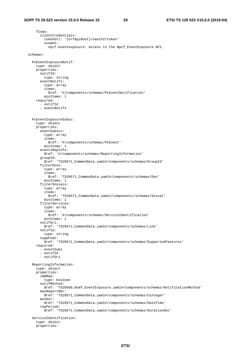flows: clientCredentials: tokenUrl: '{nrfApiRoot}/oauth2/token' scopes: npcf-eventexposure: Access to the Npcf\_EventExposure API. schemas: PcEventExposureNotif: type: object properties: notifId: type: string eventNotifs: type: array items: \$ref: '#/components/schemas/PcEventNotification' minItems: 1 required: - notifId - eventNotifs PcEventExposureSubsc: type: object properties: eventSubscs: type: array items: \$ref: '#/components/schemas/PcEvent' minItems: 1 eventsRepInfo: \$ref: '#/components/schemas/ReportingInformation' groupId: \$ref: 'TS29571\_CommonData.yaml#/components/schemas/GroupId' filterDnns: type: array items: \$ref: 'TS29571\_CommonData.yaml#/components/schemas/Dnn' minItems: 1 filterSnssais: type: array items: \$ref: 'TS29571\_CommonData.yaml#/components/schemas/Snssai' minItems: 1 filterServices: type: array items: \$ref: '#/components/schemas/ServiceIdentification' minItems: 1 notifUri: \$ref: 'TS29571\_CommonData.yaml#/components/schemas/Link' notifId: type: string suppFeat: \$ref: 'TS29571\_CommonData.yaml#/components/schemas/SupportedFeatures' required: - eventSubs - notifId - notifUri ReportingInformation: type: object properties: immRep: type: boolean notifMethod: \$ref: 'TS29508\_Nsmf\_EventExposure.yaml#/components/schemas/NotificationMethod' maxReportNbr: \$ref: 'TS29571\_CommonData.yaml#/components/schemas/Uinteger' monDur: \$ref: 'TS29571\_CommonData.yaml#/components/schemas/DateTime' repPeriod: \$ref: 'TS29571\_CommonData.yaml#/components/schemas/DurationSec' ServiceIdentification: type: object properties: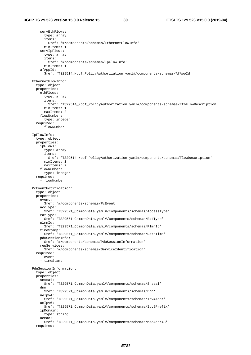servEthFlows: type: array items: \$ref: '#/components/schemas/EthernetFlowInfo' minItems: 1 servIpFlows: type: array items: \$ref: '#/components/schemas/IpFlowInfo' minItems: 1 afAppId: \$ref: 'TS29514\_Npcf\_PolicyAuthorization.yaml#/components/schemas/AfAppId' EthernetFlowInfo: type: object properties: ethFlows: type: array items: \$ref: 'TS29514\_Npcf\_PolicyAuthorization.yaml#/components/schemas/EthFlowDescription' minItems: 1 maxItems: 2 flowNumber: type: integer required: - flowNumber IpFlowInfo: type: object properties: ipFlows: type: array items: \$ref: 'TS29514\_Npcf\_PolicyAuthorization.yaml#/components/schemas/FlowDescription' min<sub>Ttems</sub>: 1 maxItems: 2 flowNumber: type: integer required: - flowNumber PcEventNotification: type: object properties: event: \$ref: '#/components/schemas/PcEvent' accType: \$ref: 'TS29571\_CommonData.yaml#/components/schemas/AccessType' ratType: \$ref: 'TS29571\_CommonData.yaml#/components/schemas/RatType' plmnId: \$ref: 'TS29571\_CommonData.yaml#/components/schemas/PlmnId' timeStamp: \$ref: 'TS29571\_CommonData.yaml#/components/schemas/DateTime' pduSessionInfo: \$ref: '#/components/schemas/PduSessionInformation' repServices: \$ref: '#/components/schemas/ServiceIdentification' required: - event - timeStamp PduSessionInformation: type: object properties: snssai: \$ref: 'TS29571\_CommonData.yaml#/components/schemas/Snssai' dnn: \$ref: 'TS29571\_CommonData.yaml#/components/schemas/Dnn'  $\text{upTw4}:$  \$ref: 'TS29571\_CommonData.yaml#/components/schemas/Ipv4Addr' ueIpv6: \$ref: 'TS29571\_CommonData.yaml#/components/schemas/Ipv6Prefix' ipDomain: type: string ueMac: \$ref: 'TS29571\_CommonData.yaml#/components/schemas/MacAddr48' required: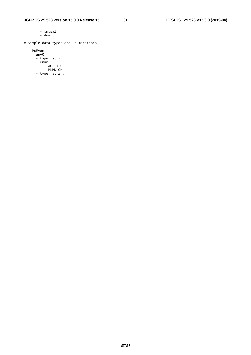- snssai - dnn

# Simple data types and Enumerations

 PcEvent: anyOf: - type: string enum: - AC\_TY\_CH - PLMN\_CH - type: string

*ETSI*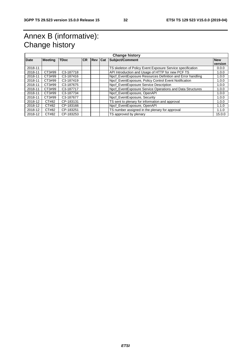# Annex B (informative): Change history

| <b>Change history</b> |                |                        |            |                |  |                                                            |            |
|-----------------------|----------------|------------------------|------------|----------------|--|------------------------------------------------------------|------------|
| <b>Date</b>           | <b>Meeting</b> | <b>TDoc</b>            | <b>ICR</b> | <b>Rev Cat</b> |  | Subject/Comment                                            | <b>New</b> |
|                       |                |                        |            |                |  |                                                            | version    |
| 2018-11               |                |                        |            |                |  | TS skeleton of Policy Event Exposure Service specification | 0.0.0      |
| 2018-11               | CT3#99         | C3-187718              |            |                |  | API Introduction and Usage of HTTP for new PCF TS          | 1.0.0      |
| 2018-11               | CT3#99         | C <sub>3</sub> -187416 |            |                |  | Npcf_EventExposure Resources Definition and Error handling | 1.0.0      |
| 2018-11               | CT3#99         | C <sub>3</sub> -187419 |            |                |  | Npcf_EventExposure, Policy Control Event Notification      | 1.0.0      |
| 2018-11               | CT3#99         | C <sub>3</sub> -187675 |            |                |  | Npcf EventExposure Service Description                     | 1.0.0      |
| 2018-11               | CT3#99         | C <sub>3</sub> -187717 |            |                |  | Npcf EventExposure Service Operations and Data Structures  | 1.0.0      |
| 2018-11               | CT3#99         | C3-187734              |            |                |  | Npcf_EventExposure, OpenAPI                                | 1.0.0      |
| 2018-11               | CT3#99         | C3-187677              |            |                |  | Nocf EventExposure, Security                               | 1.0.0      |
| 2018-12               | CT#82          | CP-183131              |            |                |  | TS sent to plenary for information and approval            | 1.0.0      |
| 2018-12               | CT#82          | CP-183166              |            |                |  | Npcf EventExposure, OpenAPI                                | 1.1.0      |
| 2018-12               | CT#82          | CP-183251              |            |                |  | TS number assigned in the plenary for approval             | 1.1.0      |
| 2018-12               | CT#82          | CP-183253              |            |                |  | TS approved by plenary                                     | 15.0.0     |